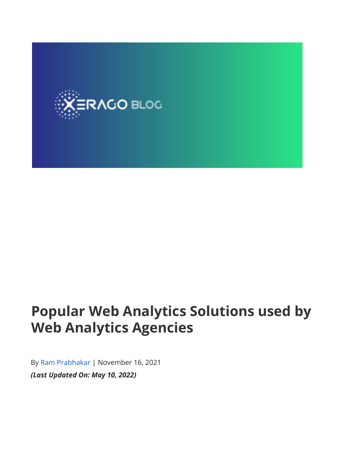

# **Popular Web Analytics Solutions used by Web Analytics Agencies**

By [Ram Prabhakar](https://www.xerago.com/blog/author/ram/) | November 16, 2021 *(Last Updated On: May 10, 2022)*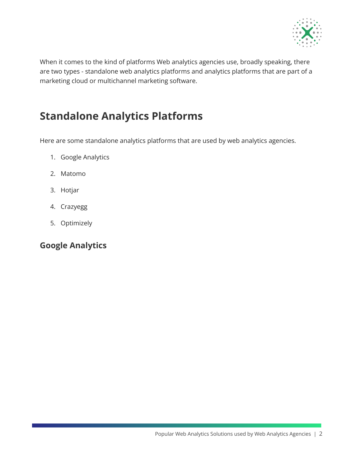

When it comes to the kind of platforms Web analytics agencies use, broadly speaking, there are two types - standalone web analytics platforms and analytics platforms that are part of a marketing cloud or multichannel marketing software.

### **Standalone Analytics Platforms**

Here are some standalone analytics platforms that are used by web analytics agencies.

- 1. Google Analytics
- 2. Matomo
- 3. Hotjar
- 4. Crazyegg
- 5. Optimizely

### **Google Analytics**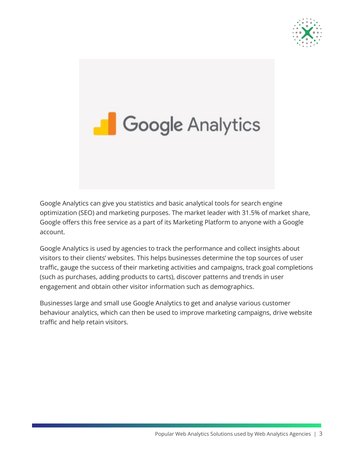



Google Analytics can give you statistics and basic analytical tools for search engine optimization (SEO) and marketing purposes. The market leader with 31.5% of market share, Google offers this free service as a part of its Marketing Platform to anyone with a Google account.

Google Analytics is used by agencies to track the performance and collect insights about visitors to their clients' websites. This helps businesses determine the top sources of user traffic, gauge the success of their marketing activities and campaigns, track goal completions (such as purchases, adding products to carts), discover patterns and trends in user engagement and obtain other visitor information such as demographics.

Businesses large and small use Google Analytics to get and analyse various customer behaviour analytics, which can then be used to improve marketing campaigns, drive website traffic and help retain visitors.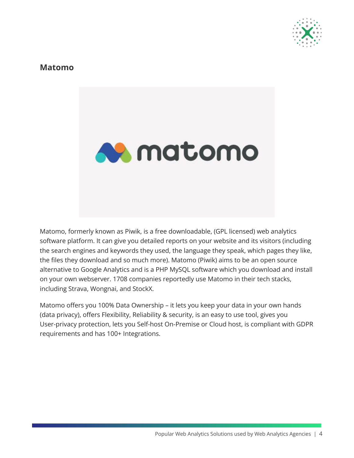

#### **Matomo**



Matomo, formerly known as Piwik, is a free downloadable, (GPL licensed) web analytics software platform. It can give you detailed reports on your website and its visitors (including the search engines and keywords they used, the language they speak, which pages they like, the files they download and so much more). Matomo (Piwik) aims to be an open source alternative to Google Analytics and is a PHP MySQL software which you download and install on your own webserver. 1708 companies reportedly use Matomo in their tech stacks, including Strava, Wongnai, and StockX.

Matomo offers you 100% Data Ownership – it lets you keep your data in your own hands (data privacy), offers Flexibility, Reliability & security, is an easy to use tool, gives you User-privacy protection, lets you Self-host On-Premise or Cloud host, is compliant with GDPR requirements and has 100+ Integrations.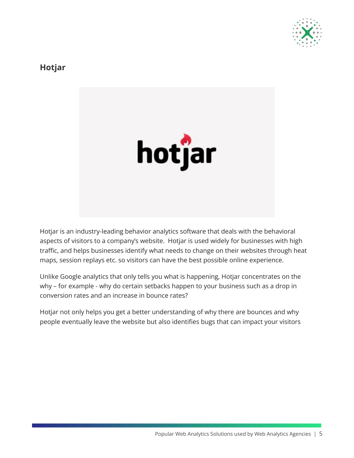

### **Hotjar**



Hotjar is an industry-leading behavior analytics software that deals with the behavioral aspects of visitors to a company's website. Hotjar is used widely for businesses with high traffic, and helps businesses identify what needs to change on their websites through heat maps, session replays etc. so visitors can have the best possible online experience.

Unlike Google analytics that only tells you what is happening, Hotjar concentrates on the why – for example - why do certain setbacks happen to your business such as a drop in conversion rates and an increase in bounce rates?

Hotjar not only helps you get a better understanding of why there are bounces and why people eventually leave the website but also identifies bugs that can impact your visitors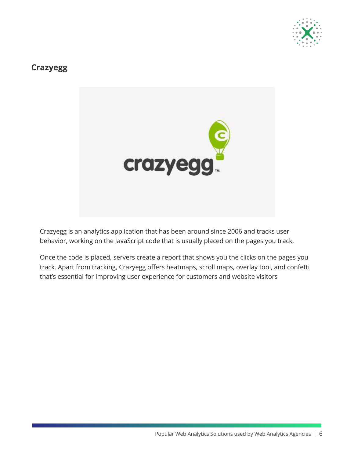

### **Crazyegg**



Crazyegg is an analytics application that has been around since 2006 and tracks user behavior, working on the JavaScript code that is usually placed on the pages you track.

Once the code is placed, servers create a report that shows you the clicks on the pages you track. Apart from tracking, Crazyegg offers heatmaps, scroll maps, overlay tool, and confetti that's essential for improving user experience for customers and website visitors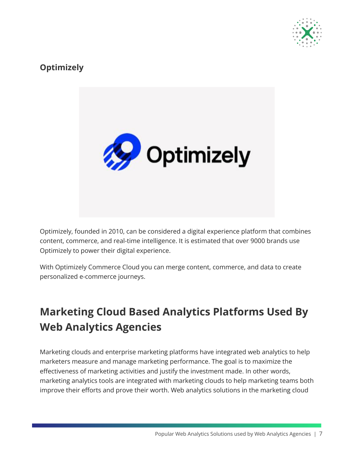

### **Optimizely**



Optimizely, founded in 2010, can be considered a digital experience platform that combines content, commerce, and real-time intelligence. It is estimated that over 9000 brands use Optimizely to power their digital experience.

With Optimizely Commerce Cloud you can merge content, commerce, and data to create personalized e-commerce journeys.

# **Marketing Cloud Based Analytics Platforms Used By Web Analytics Agencies**

Marketing clouds and enterprise marketing platforms have integrated web analytics to help marketers measure and manage marketing performance. The goal is to maximize the effectiveness of marketing activities and justify the investment made. In other words, marketing analytics tools are integrated with marketing clouds to help marketing teams both improve their efforts and prove their worth. Web analytics solutions in the marketing cloud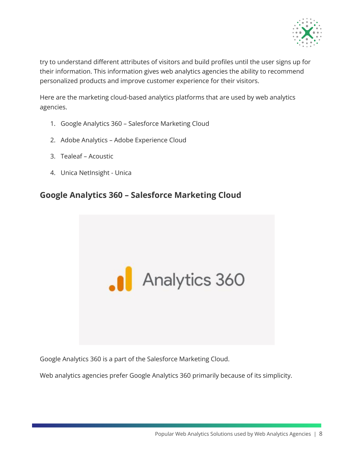

try to understand different attributes of visitors and build profiles until the user signs up for their information. This information gives web analytics agencies the ability to recommend personalized products and improve customer experience for their visitors.

Here are the marketing cloud-based analytics platforms that are used by web analytics agencies.

- 1. Google Analytics 360 Salesforce Marketing Cloud
- 2. Adobe Analytics Adobe Experience Cloud
- 3. Tealeaf Acoustic
- 4. Unica NetInsight Unica

### **Google Analytics 360 – Salesforce Marketing Cloud**



Google Analytics 360 is a part of the Salesforce Marketing Cloud.

Web analytics agencies prefer Google Analytics 360 primarily because of its simplicity.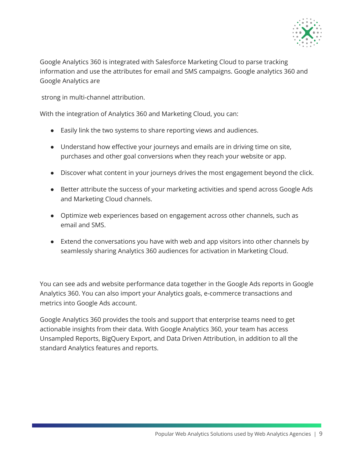

Google Analytics 360 is integrated with Salesforce Marketing Cloud to parse tracking information and use the attributes for email and SMS campaigns. Google analytics 360 and Google Analytics are

strong in multi-channel attribution.

With the integration of Analytics 360 and Marketing Cloud, you can:

- Easily link the two systems to share reporting views and audiences.
- Understand how effective your journeys and emails are in driving time on site, purchases and other goal conversions when they reach your website or app.
- Discover what content in your journeys drives the most engagement beyond the click.
- Better attribute the success of your marketing activities and spend across Google Ads and Marketing Cloud channels.
- Optimize web experiences based on engagement across other channels, such as email and SMS.
- Extend the conversations you have with web and app visitors into other channels by seamlessly sharing Analytics 360 audiences for activation in Marketing Cloud.

You can see ads and website performance data together in the Google Ads reports in Google Analytics 360. You can also import your Analytics goals, e-commerce transactions and metrics into Google Ads account.

Google Analytics 360 provides the tools and support that enterprise teams need to get actionable insights from their data. With Google Analytics 360, your team has access Unsampled Reports, BigQuery Export, and Data Driven Attribution, in addition to all the standard Analytics features and reports.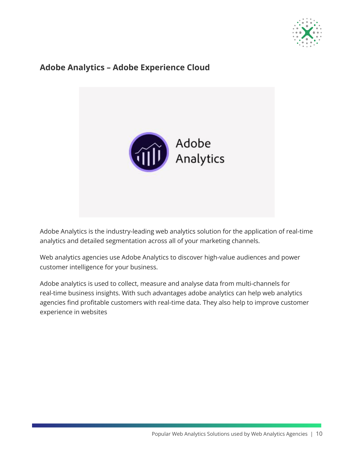

### **Adobe Analytics – Adobe Experience Cloud**



Adobe Analytics is the industry-leading web analytics solution for the application of real-time analytics and detailed segmentation across all of your marketing channels.

Web analytics agencies use Adobe Analytics to discover high-value audiences and power customer intelligence for your business.

Adobe analytics is used to collect, measure and analyse data from multi-channels for real-time business insights. With such advantages adobe analytics can help web analytics agencies find profitable customers with real-time data. They also help to improve customer experience in websites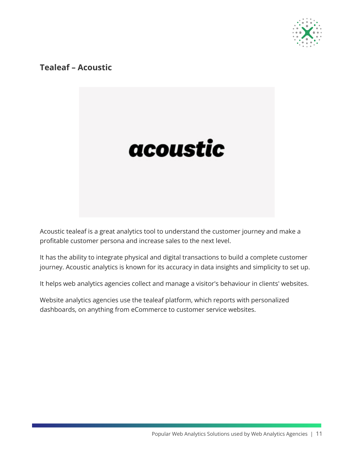

### **Tealeaf – Acoustic**



Acoustic tealeaf is a great analytics tool to understand the customer journey and make a profitable customer persona and increase sales to the next level.

It has the ability to integrate physical and digital transactions to build a complete customer journey. Acoustic analytics is known for its accuracy in data insights and simplicity to set up.

It helps web analytics agencies collect and manage a visitor's behaviour in clients' websites.

Website analytics agencies use the tealeaf platform, which reports with personalized dashboards, on anything from eCommerce to customer service websites.